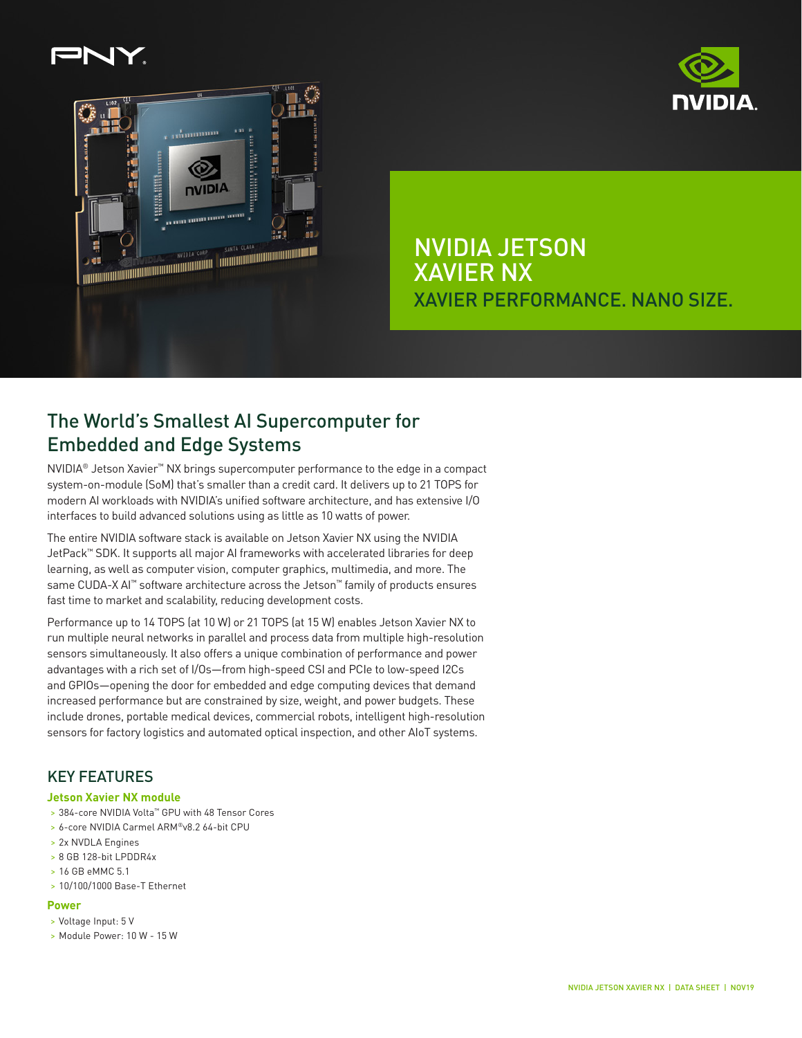



NVIDIA JETSON XAVIER NX XAVIER PERFORMANCE. NANO SIZE.

# The World's Smallest AI Supercomputer for Embedded and Edge Systems

NVIDIA® Jetson Xavier™ NX brings supercomputer performance to the edge in a compact system-on-module (SoM) that's smaller than a credit card. It delivers up to 21 TOPS for modern AI workloads with NVIDIA's unified software architecture, and has extensive I/O interfaces to build advanced solutions using as little as 10 watts of power.

The entire NVIDIA software stack is available on Jetson Xavier NX using the NVIDIA JetPack™ SDK. It supports all major AI frameworks with accelerated libraries for deep learning, as well as computer vision, computer graphics, multimedia, and more. The same CUDA-X AI™ software architecture across the Jetson™ family of products ensures fast time to market and scalability, reducing development costs.

Performance up to 14 TOPS (at 10 W) or 21 TOPS (at 15 W) enables Jetson Xavier NX to run multiple neural networks in parallel and process data from multiple high-resolution sensors simultaneously. It also offers a unique combination of performance and power advantages with a rich set of I/Os—from high-speed CSI and PCIe to low-speed I2Cs and GPIOs—opening the door for embedded and edge computing devices that demand increased performance but are constrained by size, weight, and power budgets. These include drones, portable medical devices, commercial robots, intelligent high-resolution sensors for factory logistics and automated optical inspection, and other AIoT systems.

### KEY FEATURES

### **Jetson Xavier NX module**

- > 384-core NVIDIA Volta™ GPU with 48 Tensor Cores
- > 6-core NVIDIA Carmel ARM®v8.2 64-bit CPU
- > 2x NVDLA Engines
- > 8 GB 128-bit LPDDR4x
- > 16 GB eMMC 5.1
- > 10/100/1000 Base-T Ethernet

#### **Power**

- > Voltage Input: 5 V
- > Module Power: 10 W 15 W